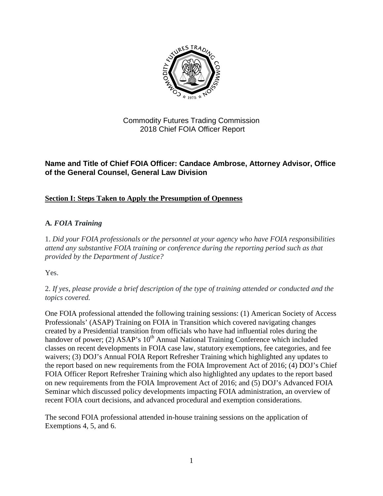

### Commodity Futures Trading Commission 2018 Chief FOIA Officer Report

### **Name and Title of Chief FOIA Officer: Candace Ambrose, Attorney Advisor, Office of the General Counsel, General Law Division**

# **Section I: Steps Taken to Apply the Presumption of Openness**

### **A***. FOIA Training*

1. *Did your FOIA professionals or the personnel at your agency who have FOIA responsibilities attend any substantive FOIA training or conference during the reporting period such as that provided by the Department of Justice?*

Yes.

2. *If yes, please provide a brief description of the type of training attended or conducted and the topics covered.*

One FOIA professional attended the following training sessions: (1) American Society of Access Professionals' (ASAP) Training on FOIA in Transition which covered navigating changes created by a Presidential transition from officials who have had influential roles during the handover of power; (2) ASAP's 10<sup>th</sup> Annual National Training Conference which included classes on recent developments in FOIA case law, statutory exemptions, fee categories, and fee waivers; (3) DOJ's Annual FOIA Report Refresher Training which highlighted any updates to the report based on new requirements from the FOIA Improvement Act of 2016; (4) DOJ's Chief FOIA Officer Report Refresher Training which also highlighted any updates to the report based on new requirements from the FOIA Improvement Act of 2016; and (5) DOJ's Advanced FOIA Seminar which discussed policy developments impacting FOIA administration, an overview of recent FOIA court decisions, and advanced procedural and exemption considerations.

The second FOIA professional attended in-house training sessions on the application of Exemptions 4, 5, and 6.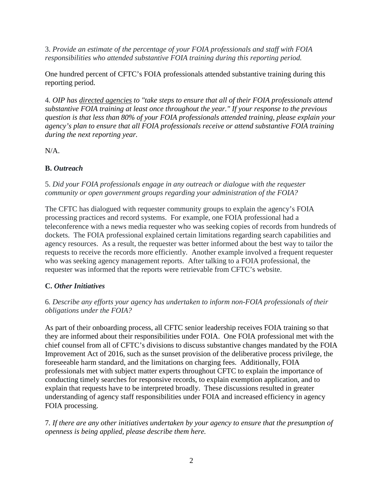3. *Provide an estimate of the percentage of your FOIA professionals and staff with FOIA responsibilities who attended substantive FOIA training during this reporting period.* 

One hundred percent of CFTC's FOIA professionals attended substantive training during this reporting period.

4*. OIP has [directed agencies](http://www.justice.gov/oip/oip-guidance-9) to "take steps to ensure that all of their FOIA professionals attend substantive FOIA training at least once throughout the year." If your response to the previous question is that less than 80% of your FOIA professionals attended training, please explain your agency's plan to ensure that all FOIA professionals receive or attend substantive FOIA training during the next reporting year.*

 $N/A$ .

### **B.** *Outreach*

5. *Did your FOIA professionals engage in any outreach or dialogue with the requester community or open government groups regarding your administration of the FOIA?*

The CFTC has dialogued with requester community groups to explain the agency's FOIA processing practices and record systems. For example, one FOIA professional had a teleconference with a news media requester who was seeking copies of records from hundreds of dockets. The FOIA professional explained certain limitations regarding search capabilities and agency resources. As a result, the requester was better informed about the best way to tailor the requests to receive the records more efficiently. Another example involved a frequent requester who was seeking agency management reports. After talking to a FOIA professional, the requester was informed that the reports were retrievable from CFTC's website.

### **C.** *Other Initiatives*

#### 6*. Describe any efforts your agency has undertaken to inform non-FOIA professionals of their obligations under the FOIA?*

As part of their onboarding process, all CFTC senior leadership receives FOIA training so that they are informed about their responsibilities under FOIA. One FOIA professional met with the chief counsel from all of CFTC's divisions to discuss substantive changes mandated by the FOIA Improvement Act of 2016, such as the sunset provision of the deliberative process privilege, the foreseeable harm standard, and the limitations on charging fees. Additionally, FOIA professionals met with subject matter experts throughout CFTC to explain the importance of conducting timely searches for responsive records, to explain exemption application, and to explain that requests have to be interpreted broadly. These discussions resulted in greater understanding of agency staff responsibilities under FOIA and increased efficiency in agency FOIA processing.

7*. If there are any other initiatives undertaken by your agency to ensure that the presumption of openness is being applied, please describe them here.*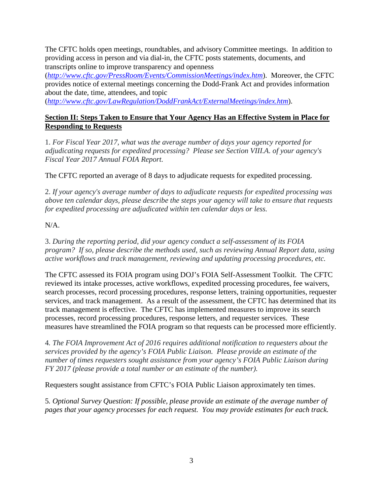The CFTC holds open meetings, roundtables, and advisory Committee meetings. In addition to providing access in person and via dial-in, the CFTC posts statements, documents, and transcripts online to improve transparency and openness

(*<http://www.cftc.gov/PressRoom/Events/CommissionMeetings/index.htm>*). Moreover, the CFTC provides notice of external meetings concerning the Dodd-Frank Act and provides information about the date, time, attendees, and topic

(*<http://www.cftc.gov/LawRegulation/DoddFrankAct/ExternalMeetings/index.htm>*).

#### **Section II: Steps Taken to Ensure that Your Agency Has an Effective System in Place for Responding to Requests**

1. *For Fiscal Year 2017, what was the average number of days your agency reported for adjudicating requests for expedited processing? Please see Section VIII.A. of your agency's Fiscal Year 2017 Annual FOIA Report.*

The CFTC reported an average of 8 days to adjudicate requests for expedited processing.

2. *If your agency's average number of days to adjudicate requests for expedited processing was above ten calendar days, please describe the steps your agency will take to ensure that requests for expedited processing are adjudicated within ten calendar days or less.*

### N/A.

3. *During the reporting period, did your agency conduct a self-assessment of its FOIA program? If so, please describe the methods used, such as reviewing Annual Report data, using active workflows and track management, reviewing and updating processing procedures, etc.*

The CFTC assessed its FOIA program using DOJ's FOIA Self-Assessment Toolkit. The CFTC reviewed its intake processes, active workflows, expedited processing procedures, fee waivers, search processes, record processing procedures, response letters, training opportunities, requester services, and track management. As a result of the assessment, the CFTC has determined that its track management is effective. The CFTC has implemented measures to improve its search processes, record processing procedures, response letters, and requester services. These measures have streamlined the FOIA program so that requests can be processed more efficiently.

4*. The FOIA Improvement Act of 2016 requires additional notification to requesters about the services provided by the agency's FOIA Public Liaison. Please provide an estimate of the number of times requesters sought assistance from your agency's FOIA Public Liaison during FY 2017 (please provide a total number or an estimate of the number).*

Requesters sought assistance from CFTC's FOIA Public Liaison approximately ten times.

5*. Optional Survey Question: If possible, please provide an estimate of the average number of pages that your agency processes for each request. You may provide estimates for each track.*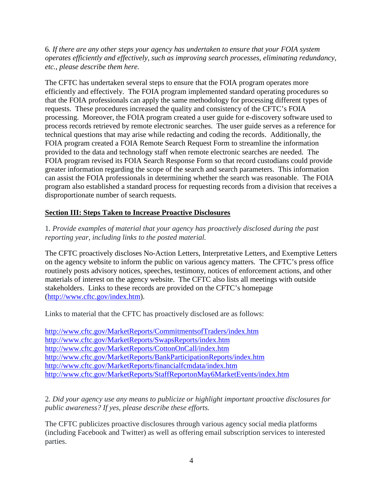6*. If there are any other steps your agency has undertaken to ensure that your FOIA system operates efficiently and effectively, such as improving search processes, eliminating redundancy, etc., please describe them here.*

The CFTC has undertaken several steps to ensure that the FOIA program operates more efficiently and effectively. The FOIA program implemented standard operating procedures so that the FOIA professionals can apply the same methodology for processing different types of requests. These procedures increased the quality and consistency of the CFTC's FOIA processing. Moreover, the FOIA program created a user guide for e-discovery software used to process records retrieved by remote electronic searches. The user guide serves as a reference for technical questions that may arise while redacting and coding the records. Additionally, the FOIA program created a FOIA Remote Search Request Form to streamline the information provided to the data and technology staff when remote electronic searches are needed. The FOIA program revised its FOIA Search Response Form so that record custodians could provide greater information regarding the scope of the search and search parameters. This information can assist the FOIA professionals in determining whether the search was reasonable. The FOIA program also established a standard process for requesting records from a division that receives a disproportionate number of search requests.

### **Section III: Steps Taken to Increase Proactive Disclosures**

1*. Provide examples of material that your agency has proactively disclosed during the past reporting year, including links to the posted material.*

The CFTC proactively discloses No-Action Letters, Interpretative Letters, and Exemptive Letters on the agency website to inform the public on various agency matters. The CFTC's press office routinely posts advisory notices, speeches, testimony, notices of enforcement actions, and other materials of interest on the agency website. The CFTC also lists all meetings with outside stakeholders. Links to these records are provided on the CFTC's homepage [\(http://www.cftc.gov/index.htm\)](http://www.cftc.gov/index.htm).

Links to material that the CFTC has proactively disclosed are as follows:

<http://www.cftc.gov/MarketReports/CommitmentsofTraders/index.htm> <http://www.cftc.gov/MarketReports/SwapsReports/index.htm> <http://www.cftc.gov/MarketReports/CottonOnCall/index.htm> <http://www.cftc.gov/MarketReports/BankParticipationReports/index.htm> <http://www.cftc.gov/MarketReports/financialfcmdata/index.htm> <http://www.cftc.gov/MarketReports/StaffReportonMay6MarketEvents/index.htm>

2*. Did your agency use any means to publicize or highlight important proactive disclosures for public awareness? If yes, please describe these efforts.*

The CFTC publicizes proactive disclosures through various agency social media platforms (including Facebook and Twitter) as well as offering email subscription services to interested parties.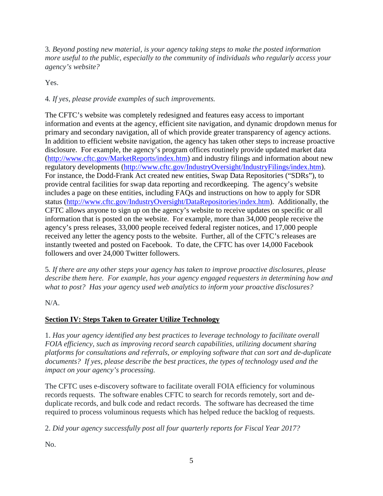3*. Beyond posting new material, is your agency taking steps to make the posted information more useful to the public, especially to the community of individuals who regularly access your agency's website?*

Yes.

# 4*. If yes, please provide examples of such improvements.*

The CFTC's website was completely redesigned and features easy access to important information and events at the agency, efficient site navigation, and dynamic dropdown menus for primary and secondary navigation, all of which provide greater transparency of agency actions. In addition to efficient website navigation, the agency has taken other steps to increase proactive disclosure. For example, the agency's program offices routinely provide updated market data [\(http://www.cftc.gov/MarketReports/index.htm\)](http://www.cftc.gov/MarketReports/index.htm) and industry filings and information about new regulatory developments [\(http://www.cftc.gov/IndustryOversight/IndustryFilings/index.htm\)](http://www.cftc.gov/IndustryOversight/IndustryFilings/index.htm). For instance, the Dodd-Frank Act created new entities, Swap Data Repositories ("SDRs"), to provide central facilities for swap data reporting and recordkeeping. The agency's website includes a page on these entities, including FAQs and instructions on how to apply for SDR status [\(http://www.cftc.gov/IndustryOversight/DataRepositories/index.htm\)](http://www.cftc.gov/IndustryOversight/DataRepositories/index.htm). Additionally, the CFTC allows anyone to sign up on the agency's website to receive updates on specific or all information that is posted on the website. For example, more than 34,000 people receive the agency's press releases, 33,000 people received federal register notices, and 17,000 people received any letter the agency posts to the website. Further, all of the CFTC's releases are instantly tweeted and posted on Facebook. To date, the CFTC has over 14,000 Facebook followers and over 24,000 Twitter followers.

5*. If there are any other steps your agency has taken to improve proactive disclosures, please describe them here. For example, has your agency engaged requesters in determining how and what to post? Has your agency used web analytics to inform your proactive disclosures?*

 $N/A$ .

# **Section IV: Steps Taken to Greater Utilize Technology**

1. *Has your agency identified any best practices to leverage technology to facilitate overall FOIA efficiency, such as improving record search capabilities, utilizing document sharing platforms for consultations and referrals, or employing software that can sort and de-duplicate documents? If yes, please describe the best practices, the types of technology used and the impact on your agency's processing.* 

The CFTC uses e-discovery software to facilitate overall FOIA efficiency for voluminous records requests. The software enables CFTC to search for records remotely, sort and deduplicate records, and bulk code and redact records. The software has decreased the time required to process voluminous requests which has helped reduce the backlog of requests.

2. *Did your agency successfully post all four quarterly reports for Fiscal Year 2017?*

No.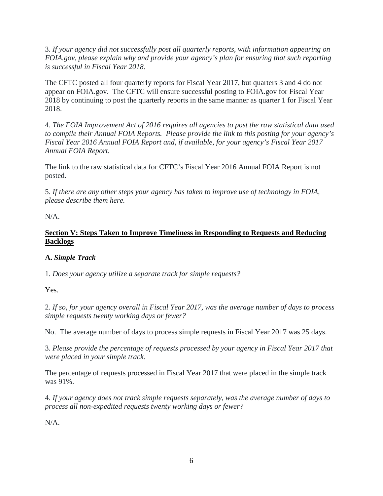3. *If your agency did not successfully post all quarterly reports, with information appearing on FOIA.gov, please explain why and provide your agency's plan for ensuring that such reporting is successful in Fiscal Year 2018.*

The CFTC posted all four quarterly reports for Fiscal Year 2017, but quarters 3 and 4 do not appear on FOIA.gov. The CFTC will ensure successful posting to FOIA.gov for Fiscal Year 2018 by continuing to post the quarterly reports in the same manner as quarter 1 for Fiscal Year 2018.

4. *The FOIA Improvement Act of 2016 requires all agencies to post the raw statistical data used to compile their Annual FOIA Reports. Please provide the link to this posting for your agency's Fiscal Year 2016 Annual FOIA Report and, if available, for your agency's Fiscal Year 2017 Annual FOIA Report.*

The link to the raw statistical data for CFTC's Fiscal Year 2016 Annual FOIA Report is not posted.

5. *If there are any other steps your agency has taken to improve use of technology in FOIA, please describe them here.*

N/A.

### **Section V: Steps Taken to Improve Timeliness in Responding to Requests and Reducing Backlogs**

### **A.** *Simple Track*

1. *Does your agency utilize a separate track for simple requests?*

Yes.

2. *If so, for your agency overall in Fiscal Year 2017, was the average number of days to process simple requests twenty working days or fewer?*

No. The average number of days to process simple requests in Fiscal Year 2017 was 25 days.

3. *Please provide the percentage of requests processed by your agency in Fiscal Year 2017 that were placed in your simple track.*

The percentage of requests processed in Fiscal Year 2017 that were placed in the simple track was 91%.

4. *If your agency does not track simple requests separately, was the average number of days to process all non-expedited requests twenty working days or fewer?*

N/A.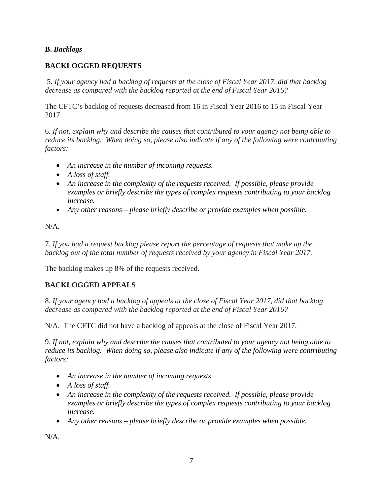#### **B.** *Backlogs*

### **BACKLOGGED REQUESTS**

 5. *If your agency had a backlog of requests at the close of Fiscal Year 2017, did that backlog decrease as compared with the backlog reported at the end of Fiscal Year 2016?*

The CFTC's backlog of requests decreased from 16 in Fiscal Year 2016 to 15 in Fiscal Year 2017.

6*. If not, explain why and describe the causes that contributed to your agency not being able to reduce its backlog. When doing so, please also indicate if any of the following were contributing factors:* 

- *An increase in the number of incoming requests.*
- *A loss of staff.*
- *An increase in the complexity of the requests received. If possible, please provide examples or briefly describe the types of complex requests contributing to your backlog increase.*
- *Any other reasons please briefly describe or provide examples when possible.*

N/A.

7*. If you had a request backlog please report the percentage of requests that make up the backlog out of the total number of requests received by your agency in Fiscal Year 2017.* 

The backlog makes up 8% of the requests received.

### **BACKLOGGED APPEALS**

8*. If your agency had a backlog of appeals at the close of Fiscal Year 2017, did that backlog decrease as compared with the backlog reported at the end of Fiscal Year 2016?* 

N/A. The CFTC did not have a backlog of appeals at the close of Fiscal Year 2017.

9*. If not, explain why and describe the causes that contributed to your agency not being able to reduce its backlog. When doing so, please also indicate if any of the following were contributing factors:* 

- *An increase in the number of incoming requests.*
- *A loss of staff.*
- *An increase in the complexity of the requests received. If possible, please provide examples or briefly describe the types of complex requests contributing to your backlog increase.*
- *Any other reasons please briefly describe or provide examples when possible.*

N/A.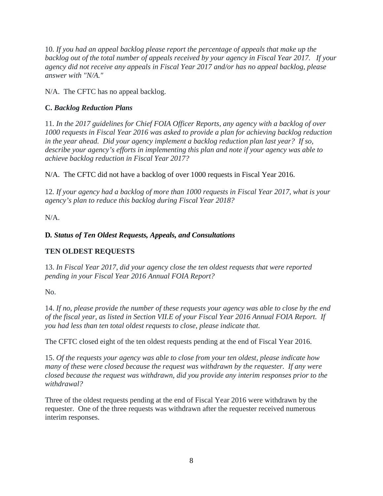10*. If you had an appeal backlog please report the percentage of appeals that make up the backlog out of the total number of appeals received by your agency in Fiscal Year 2017. If your agency did not receive any appeals in Fiscal Year 2017 and/or has no appeal backlog, please answer with "N/A."*

N/A. The CFTC has no appeal backlog.

### **C.** *Backlog Reduction Plans*

11*. In the 2017 guidelines for Chief FOIA Officer Reports, any agency with a backlog of over 1000 requests in Fiscal Year 2016 was asked to provide a plan for achieving backlog reduction in the year ahead. Did your agency implement a backlog reduction plan last year? If so, describe your agency's efforts in implementing this plan and note if your agency was able to achieve backlog reduction in Fiscal Year 2017?* 

N/A. The CFTC did not have a backlog of over 1000 requests in Fiscal Year 2016.

12*. If your agency had a backlog of more than 1000 requests in Fiscal Year 2017, what is your agency's plan to reduce this backlog during Fiscal Year 2018?* 

N/A.

# **D***. Status of Ten Oldest Requests, Appeals, and Consultations*

# **TEN OLDEST REQUESTS**

13. *In Fiscal Year 2017, did your agency close the ten oldest requests that were reported pending in your Fiscal Year 2016 Annual FOIA Report?*

No.

14. *If no, please provide the number of these requests your agency was able to close by the end of the fiscal year, as listed in Section VII.E of your Fiscal Year 2016 Annual FOIA Report. If you had less than ten total oldest requests to close, please indicate that.* 

The CFTC closed eight of the ten oldest requests pending at the end of Fiscal Year 2016.

15. *Of the requests your agency was able to close from your ten oldest, please indicate how many of these were closed because the request was withdrawn by the requester. If any were closed because the request was withdrawn, did you provide any interim responses prior to the withdrawal?*

Three of the oldest requests pending at the end of Fiscal Year 2016 were withdrawn by the requester. One of the three requests was withdrawn after the requester received numerous interim responses.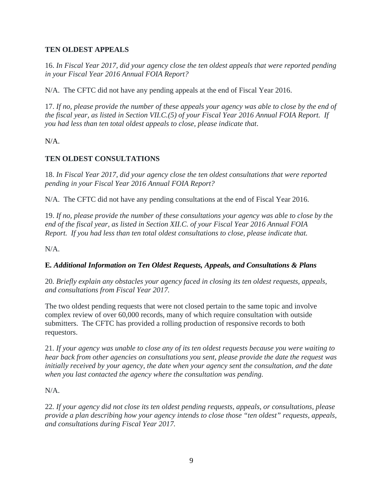### **TEN OLDEST APPEALS**

16. *In Fiscal Year 2017, did your agency close the ten oldest appeals that were reported pending in your Fiscal Year 2016 Annual FOIA Report?*

N/A. The CFTC did not have any pending appeals at the end of Fiscal Year 2016.

17. *If no, please provide the number of these appeals your agency was able to close by the end of the fiscal year, as listed in Section VII.C.(5) of your Fiscal Year 2016 Annual FOIA Report. If you had less than ten total oldest appeals to close, please indicate that*.

N/A.

### **TEN OLDEST CONSULTATIONS**

18. *In Fiscal Year 2017, did your agency close the ten oldest consultations that were reported pending in your Fiscal Year 2016 Annual FOIA Report?*

N/A. The CFTC did not have any pending consultations at the end of Fiscal Year 2016.

19. *If no, please provide the number of these consultations your agency was able to close by the end of the fiscal year, as listed in Section XII.C. of your Fiscal Year 2016 Annual FOIA Report. If you had less than ten total oldest consultations to close, please indicate that.*

N/A.

#### **E***. Additional Information on Ten Oldest Requests, Appeals, and Consultations & Plans*

20*. Briefly explain any obstacles your agency faced in closing its ten oldest requests, appeals, and consultations from Fiscal Year 2017.*

The two oldest pending requests that were not closed pertain to the same topic and involve complex review of over 60,000 records, many of which require consultation with outside submitters. The CFTC has provided a rolling production of responsive records to both requestors.

21*. If your agency was unable to close any of its ten oldest requests because you were waiting to hear back from other agencies on consultations you sent, please provide the date the request was initially received by your agency, the date when your agency sent the consultation, and the date when you last contacted the agency where the consultation was pending.* 

N/A.

22*. If your agency did not close its ten oldest pending requests, appeals, or consultations, please provide a plan describing how your agency intends to close those "ten oldest" requests, appeals, and consultations during Fiscal Year 2017.*